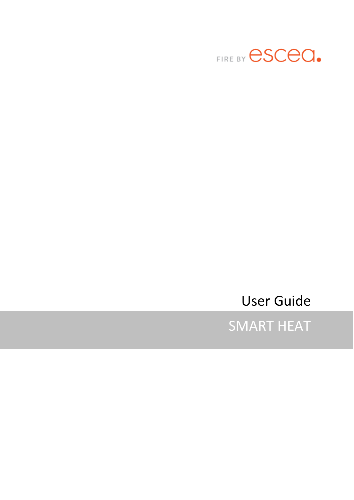

User Guide

SMART HEAT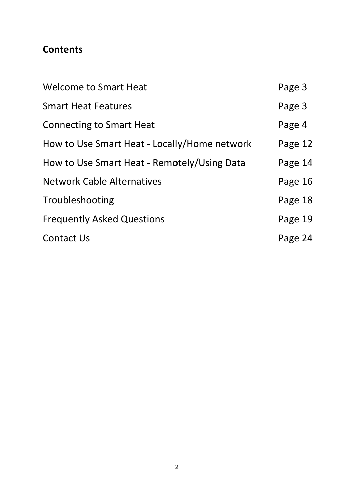## **Contents**

| <b>Welcome to Smart Heat</b>                 | Page 3  |
|----------------------------------------------|---------|
| <b>Smart Heat Features</b>                   | Page 3  |
| <b>Connecting to Smart Heat</b>              | Page 4  |
| How to Use Smart Heat - Locally/Home network | Page 12 |
| How to Use Smart Heat - Remotely/Using Data  | Page 14 |
| <b>Network Cable Alternatives</b>            | Page 16 |
| Troubleshooting                              | Page 18 |
| <b>Frequently Asked Questions</b>            | Page 19 |
| <b>Contact Us</b>                            | Page 24 |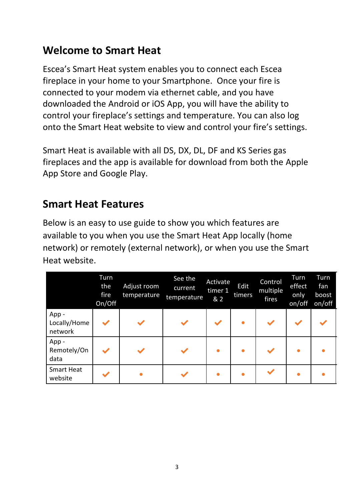# **Welcome to Smart Heat**

Escea's Smart Heat system enables you to connect each Escea fireplace in your home to your Smartphone. Once your fire is connected to your modem via ethernet cable, and you have downloaded the Android or iOS App, you will have the ability to control your fireplace's settings and temperature. You can also log onto the Smart Heat website to view and control your fire's settings.

Smart Heat is available with all DS, DX, DL, DF and KS Series gas fireplaces and the app is available for download from both the Apple App Store and Google Play.

# **Smart Heat Features**

Below is an easy to use guide to show you which features are available to you when you use the Smart Heat App locally (home network) or remotely (external network), or when you use the Smart Heat website.

|                                 | Turn<br>the<br>fire<br>On/Off | Adjust room<br>temperature | See the<br>current<br>temperature | Activate<br>timer 1<br>& 2 | Edit<br>timers | Control<br>multiple<br>fires | <b>Turn</b><br>effect<br>only<br>on/off | Turn<br>fan<br>boost<br>on/off |
|---------------------------------|-------------------------------|----------------------------|-----------------------------------|----------------------------|----------------|------------------------------|-----------------------------------------|--------------------------------|
| App-<br>Locally/Home<br>network |                               |                            |                                   |                            |                |                              |                                         |                                |
| App-<br>Remotely/On<br>data     |                               |                            |                                   |                            |                |                              |                                         |                                |
| <b>Smart Heat</b><br>website    |                               |                            |                                   |                            |                |                              |                                         |                                |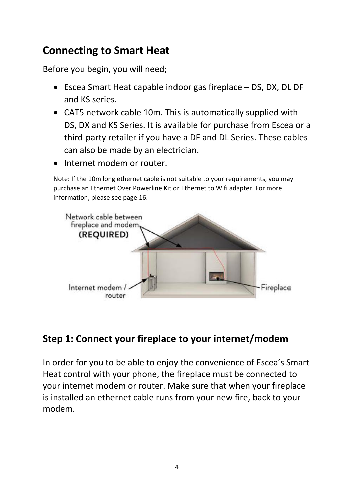# **Connecting to Smart Heat**

Before you begin, you will need;

- Escea Smart Heat capable indoor gas fireplace DS, DX, DL DF and KS series.
- CAT5 network cable 10m. This is automatically supplied with DS, DX and KS Series. It is available for purchase from Escea or a third-party retailer if you have a DF and DL Series. These cables can also be made by an electrician.
- Internet modem or router.

Note: If the 10m long ethernet cable is not suitable to your requirements, you may purchase an Ethernet Over Powerline Kit or Ethernet to Wifi adapter. For more information, please see page 16.



# **Step 1: Connect your fireplace to your internet/modem**

In order for you to be able to enjoy the convenience of Escea's Smart Heat control with your phone, the fireplace must be connected to your internet modem or router. Make sure that when your fireplace is installed an ethernet cable runs from your new fire, back to your modem.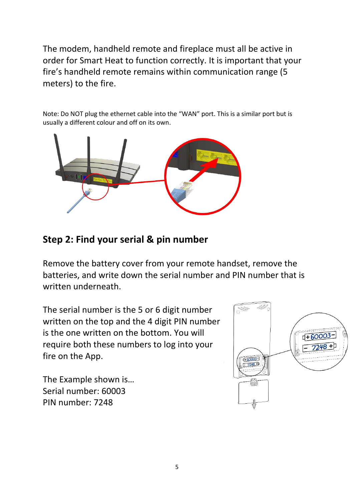The modem, handheld remote and fireplace must all be active in order for Smart Heat to function correctly. It is important that your fire's handheld remote remains within communication range (5 meters) to the fire.

Note: Do NOT plug the ethernet cable into the "WAN" port. This is a similar port but is usually a different colour and off on its own.



# **Step 2: Find your serial & pin number**

Remove the battery cover from your remote handset, remove the batteries, and write down the serial number and PIN number that is written underneath.

The serial number is the 5 or 6 digit number written on the top and the 4 digit PIN number is the one written on the bottom. You will require both these numbers to log into your fire on the App.

The Example shown is… Serial number: 60003 PIN number: 7248

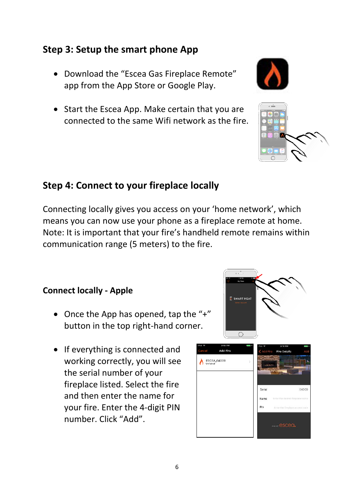## **Step 3: Setup the smart phone App**

- Download the "Escea Gas Fireplace Remote" app from the App Store or Google Play.
- Start the Escea App. Make certain that you are connected to the same Wifi network as the fire.

### **Step 4: Connect to your fireplace locally**

Connecting locally gives you access on your 'home network', which means you can now use your phone as a fireplace remote at home. Note: It is important that your fire's handheld remote remains within communication range (5 meters) to the fire.

#### **Connect locally - Apple**

- Once the App has opened, tap the "+" button in the top right-hand corner.
- If everything is connected and working correctly, you will see the serial number of your fireplace listed. Select the fire and then enter the name for your fire. Enter the 4-digit PIN number. Click "Add".

6





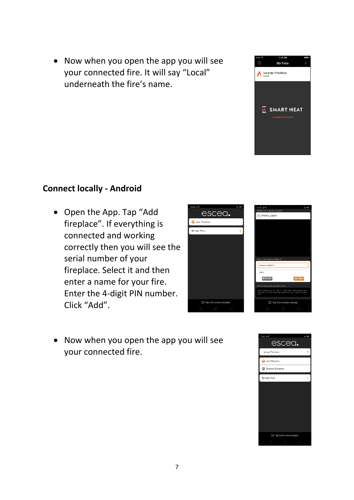• Now when you open the app you will see your connected fire. It will say "Local" underneath the fire's name.



### **Connect locally - Android**

• Open the App. Tap "Add fireplace". If everything is connected and working correctly then you will see the serial number of your fireplace. Select it and then enter a name for your fire. Enter the 4-digit PIN number. Click "Add".



• Now when you open the app you will see your connected fire.

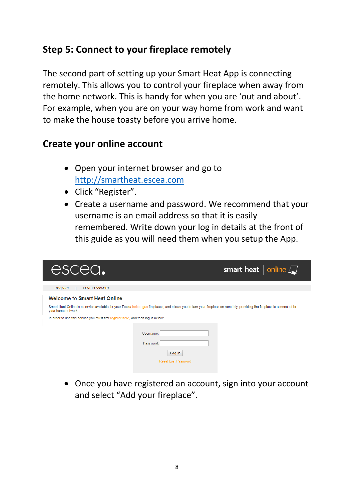## **Step 5: Connect to your fireplace remotely**

The second part of setting up your Smart Heat App is connecting remotely. This allows you to control your fireplace when away from the home network. This is handy for when you are 'out and about'. For example, when you are on your way home from work and want to make the house toasty before you arrive home.

## **Create your online account**

- Open your internet browser and go to [http://smartheat.escea.com](http://smartheat.escea.com/)
- Click "Register".
- Create a username and password. We recommend that your username is an email address so that it is easily remembered. Write down your log in details at the front of this guide as you will need them when you setup the App.

| escea.                                                                            |                                                                                                                                                                           | smart heat $ $ online $\Box$ |
|-----------------------------------------------------------------------------------|---------------------------------------------------------------------------------------------------------------------------------------------------------------------------|------------------------------|
| Register<br><b>Lost Password</b>                                                  |                                                                                                                                                                           |                              |
| <b>Welcome to Smart Heat Online</b>                                               |                                                                                                                                                                           |                              |
| your home network.                                                                | Smart Heat Online is a service available for your Escea indoor gas fireplaces, and allows you to turn your fireplace on remotely, providing the fireplace is connected to |                              |
| In order to use this service you must first register here, and then log in below: |                                                                                                                                                                           |                              |
|                                                                                   | Username:<br>Password:<br>Log In<br><b>Reset Lost Password</b>                                                                                                            |                              |

• Once you have registered an account, sign into your account and select "Add your fireplace".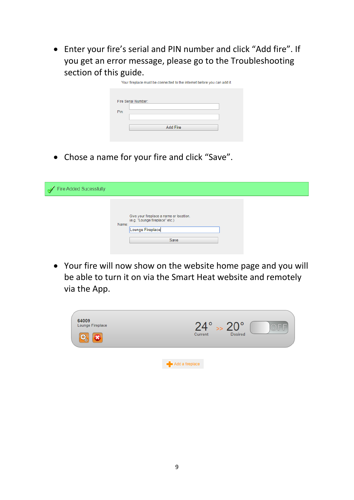• Enter your fire's serial and PIN number and click "Add fire". If you get an error message, please go to the Troubleshooting section of this guide.

|      | Your fireplace must be connected to the internet before you can add it. |
|------|-------------------------------------------------------------------------|
|      |                                                                         |
|      | Fire Serial Number:                                                     |
|      |                                                                         |
| Pin: |                                                                         |
|      |                                                                         |
|      | Add Fire                                                                |
|      |                                                                         |

• Chose a name for your fire and click "Save".

| Fire Added Sucessfully |                                                                                                                |  |
|------------------------|----------------------------------------------------------------------------------------------------------------|--|
|                        | Give your fireplace a name or location.<br>(e.g. "Lounge fireplace" etc.)<br>Name:<br>Lounge Fireplace<br>Save |  |

• Your fire will now show on the website home page and you will be able to turn it on via the Smart Heat website and remotely via the App.

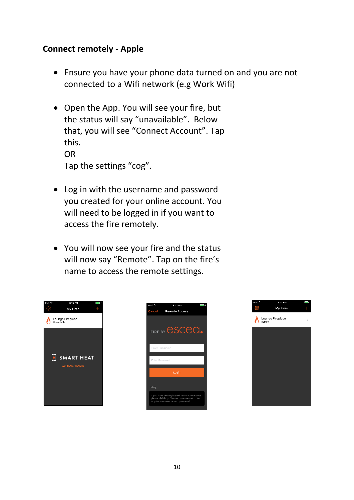#### **Connect remotely - Apple**

- Ensure you have your phone data turned on and you are not connected to a Wifi network (e.g Work Wifi)
- Open the App. You will see your fire, but the status will say "unavailable". Below that, you will see "Connect Account". Tap this. OR Tap the settings "cog".
- Log in with the username and password you created for your online account. You will need to be logged in if you want to access the fire remotely.
- You will now see your fire and the status will now say "Remote". Tap on the fire's name to access the remote settings.





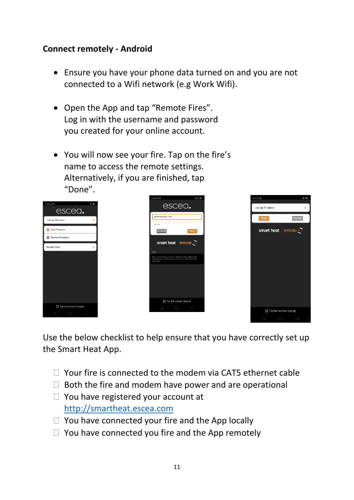### **Connect remotely - Android**

- Ensure you have your phone data turned on and you are not connected to a Wifi network (e.g Work Wifi).
- Open the App and tap "Remote Fires". Log in with the username and password you created for your online account.
- You will now see your fire. Tap on the fire's name to access the remote settings. Alternatively, if you are finished, tap "Done".

|                                                                                     | 1 5:28 at 1 7.<br><b>SOM</b>                                                                                                                                           | 11:11 Mil                            | $(6)$ (ED) |
|-------------------------------------------------------------------------------------|------------------------------------------------------------------------------------------------------------------------------------------------------------------------|--------------------------------------|------------|
| 1107.4%<br><b>COMPOS</b><br>escea.                                                  | escea.                                                                                                                                                                 | Lounge Fireplace                     | ٠          |
| Lounge Finglace                                                                     | johnsmith@email.com                                                                                                                                                    | Log out<br>Done                      |            |
| <b>Q</b> Add Fineplace                                                              | <br>Login<br>« Cancel                                                                                                                                                  | smart heat $ $ remote $\bigcirc$     |            |
| Remove Fireplace                                                                    |                                                                                                                                                                        |                                      |            |
| Remote Fires                                                                        | smart heat $ $ remote $\sqrt{ }$                                                                                                                                       |                                      |            |
|                                                                                     | Help:<br>If you have not registered for remote access please visit.<br>http://escea.chserver.net.nz.to.acquire.a.usemame.and<br>password<br>5조 Tap full screen display |                                      |            |
| 24 Tap full screen display                                                          | $\circlearrowright$<br>$\sim$<br>$\Box$                                                                                                                                |                                      |            |
| $\begin{array}{ccccccccccccc} \Box & & \Box & & \Box & & \Box & & \Box \end{array}$ |                                                                                                                                                                        | 5℃ Tap full screen display           |            |
|                                                                                     |                                                                                                                                                                        | $\circ$<br>$\triangleleft$<br>$\Box$ |            |

Use the below checklist to help ensure that you have correctly set up the Smart Heat App.

- $\Box$  Your fire is connected to the modem via CAT5 ethernet cable
- $\Box$  Both the fire and modem have power and are operational
- □ You have registered your account at [http://smartheat.escea.com](http://smartheat.escea.com/)
- $\Box$  You have connected your fire and the App locally
- $\Box$  You have connected you fire and the App remotely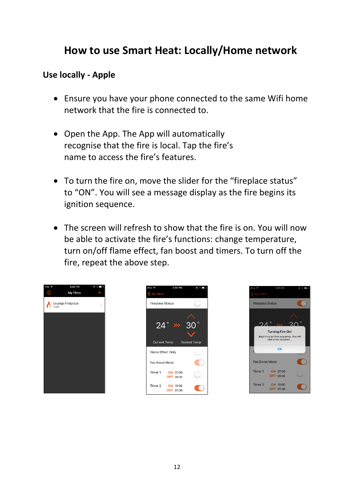# **How to use Smart Heat: Locally/Home network**

### **Use locally - Apple**

- Ensure you have your phone connected to the same Wifi home network that the fire is connected to.
- Open the App. The App will automatically recognise that the fire is local. Tap the fire's name to access the fire's features.
- To turn the fire on, move the slider for the "fireplace status" to "ON". You will see a message display as the fire begins its ignition sequence.
- The screen will refresh to show that the fire is on. You will now be able to activate the fire's functions: change temperature, turn on/off flame effect, fan boost and timers. To turn off the fire, repeat the above step.





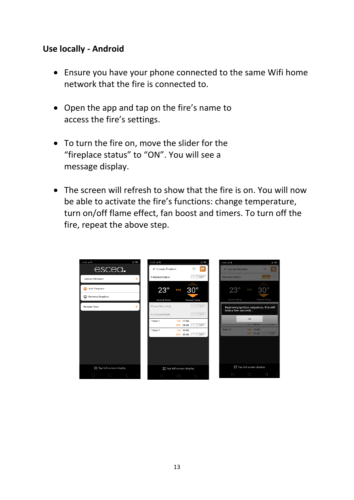#### **Use locally - Android**

- Ensure you have your phone connected to the same Wifi home network that the fire is connected to.
- Open the app and tap on the fire's name to access the fire's settings.
- To turn the fire on, move the slider for the "fireplace status" to "ON". You will see a message display.
- The screen will refresh to show that the fire is on. You will now be able to activate the fire's functions: change temperature, turn on/off flame effect, fan boost and timers. To turn off the fire, repeat the above step.

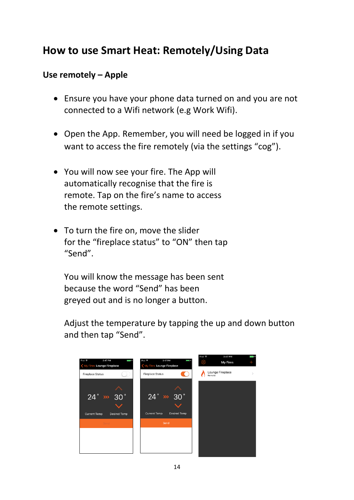# **How to use Smart Heat: Remotely/Using Data**

### **Use remotely – Apple**

- Ensure you have your phone data turned on and you are not connected to a Wifi network (e.g Work Wifi).
- Open the App. Remember, you will need be logged in if you want to access the fire remotely (via the settings "cog").
- You will now see your fire. The App will automatically recognise that the fire is remote. Tap on the fire's name to access the remote settings.
- To turn the fire on, move the slider for the "fireplace status" to "ON" then tap "Send".

You will know the message has been sent because the word "Send" has been greyed out and is no longer a button.

Adjust the temperature by tapping the up and down button and then tap "Send".

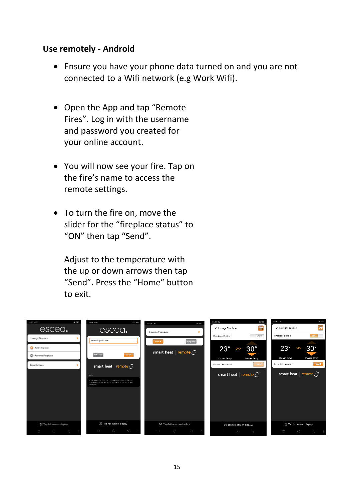#### **Use remotely - Android**

- Ensure you have your phone data turned on and you are not connected to a Wifi network (e.g Work Wifi).
- Open the App and tap "Remote Fires". Log in with the username and password you created for your online account.
- You will now see your fire. Tap on the fire's name to access the remote settings.
- To turn the fire on, move the slider for the "fireplace status" to "ON" then tap "Send".

Adjust to the temperature with the up or down arrows then tap "Send". Press the "Home" button to exit.

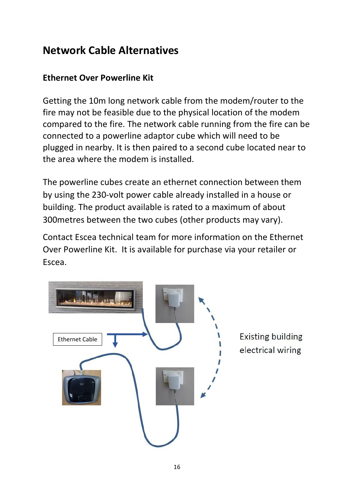# **Network Cable Alternatives**

### **Ethernet Over Powerline Kit**

Getting the 10m long network cable from the modem/router to the fire may not be feasible due to the physical location of the modem compared to the fire. The network cable running from the fire can be connected to a powerline adaptor cube which will need to be plugged in nearby. It is then paired to a second cube located near to the area where the modem is installed.

The powerline cubes create an ethernet connection between them by using the 230-volt power cable already installed in a house or building. The product available is rated to a maximum of about 300metres between the two cubes (other products may vary).

Contact Escea technical team for more information on the Ethernet Over Powerline Kit. It is available for purchase via your retailer or Escea.

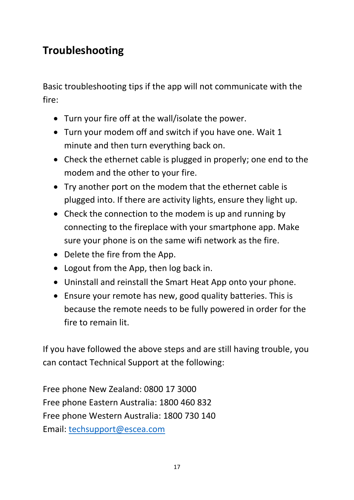# **Troubleshooting**

Basic troubleshooting tips if the app will not communicate with the fire:

- Turn your fire off at the wall/isolate the power.
- Turn your modem off and switch if you have one. Wait 1 minute and then turn everything back on.
- Check the ethernet cable is plugged in properly; one end to the modem and the other to your fire.
- Try another port on the modem that the ethernet cable is plugged into. If there are activity lights, ensure they light up.
- Check the connection to the modem is up and running by connecting to the fireplace with your smartphone app. Make sure your phone is on the same wifi network as the fire.
- Delete the fire from the App.
- Logout from the App, then log back in.
- Uninstall and reinstall the Smart Heat App onto your phone.
- Ensure your remote has new, good quality batteries. This is because the remote needs to be fully powered in order for the fire to remain lit.

If you have followed the above steps and are still having trouble, you can contact Technical Support at the following:

Free phone New Zealand: 0800 17 3000 Free phone Eastern Australia: 1800 460 832 Free phone Western Australia: 1800 730 140 Email: [techsupport@escea.com](mailto:techsupport@escea.com)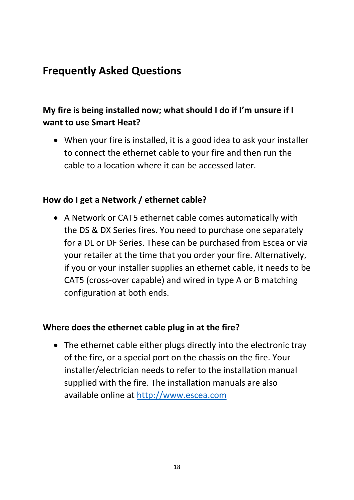# **Frequently Asked Questions**

## **My fire is being installed now; what should I do if I'm unsure if I want to use Smart Heat?**

• When your fire is installed, it is a good idea to ask your installer to connect the ethernet cable to your fire and then run the cable to a location where it can be accessed later.

### **How do I get a Network / ethernet cable?**

• A Network or CAT5 ethernet cable comes automatically with the DS & DX Series fires. You need to purchase one separately for a DL or DF Series. These can be purchased from Escea or via your retailer at the time that you order your fire. Alternatively, if you or your installer supplies an ethernet cable, it needs to be CAT5 (cross-over capable) and wired in type A or B matching configuration at both ends.

#### **Where does the ethernet cable plug in at the fire?**

• The ethernet cable either plugs directly into the electronic tray of the fire, or a special port on the chassis on the fire. Your installer/electrician needs to refer to the installation manual supplied with the fire. The installation manuals are also available online at [http://www.escea.com](http://www.escea.com/)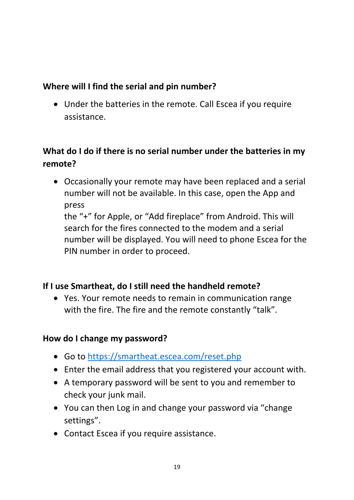## **Where will I find the serial and pin number?**

• Under the batteries in the remote. Call Escea if you require assistance.

## **What do I do if there is no serial number under the batteries in my remote?**

• Occasionally your remote may have been replaced and a serial number will not be available. In this case, open the App and press

the "+" for Apple, or "Add fireplace" from Android. This will search for the fires connected to the modem and a serial number will be displayed. You will need to phone Escea for the PIN number in order to proceed.

## **If I use Smartheat, do I still need the handheld remote?**

• Yes. Your remote needs to remain in communication range with the fire. The fire and the remote constantly "talk".

### **How do I change my password?**

- Go to<https://smartheat.escea.com/reset.php>
- Enter the email address that you registered your account with.
- A temporary password will be sent to you and remember to check your junk mail.
- You can then Log in and change your password via "change settings".
- Contact Escea if you require assistance.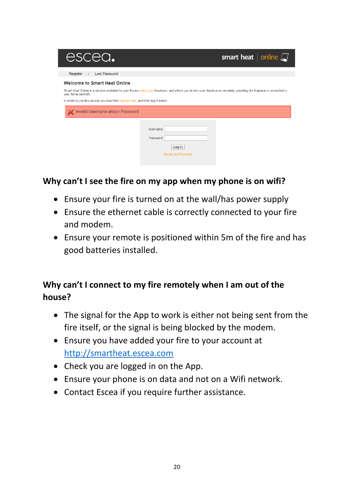| escea.                                                                                                                                                                                          |                                                                | smart heat $ $ online $\square$ |
|-------------------------------------------------------------------------------------------------------------------------------------------------------------------------------------------------|----------------------------------------------------------------|---------------------------------|
| <b>Lost Password</b><br>Register                                                                                                                                                                |                                                                |                                 |
| <b>Welcome to Smart Heat Online</b>                                                                                                                                                             |                                                                |                                 |
| Smart Heat Online is a service available for your Escea indoor gas fireplaces, and allows you to turn your fireplace on remotely, providing the fireplace is connected to<br>your home network. |                                                                |                                 |
| In order to use this service you must first register here, and then log in below:                                                                                                               |                                                                |                                 |
| Invalid Username and/or Password                                                                                                                                                                |                                                                |                                 |
|                                                                                                                                                                                                 | Username:<br>Password:<br>Log In<br><b>Reset Lost Password</b> |                                 |

### **Why can't I see the fire on my app when my phone is on wifi?**

- Ensure your fire is turned on at the wall/has power supply
- Ensure the ethernet cable is correctly connected to your fire and modem.
- Ensure your remote is positioned within 5m of the fire and has good batteries installed.

## **Why can't I connect to my fire remotely when I am out of the house?**

- The signal for the App to work is either not being sent from the fire itself, or the signal is being blocked by the modem.
- Ensure you have added your fire to your account at [http://smartheat.escea.com](http://smartheat.escea.com/)
- Check you are logged in on the App.
- Ensure your phone is on data and not on a Wifi network.
- Contact Escea if you require further assistance.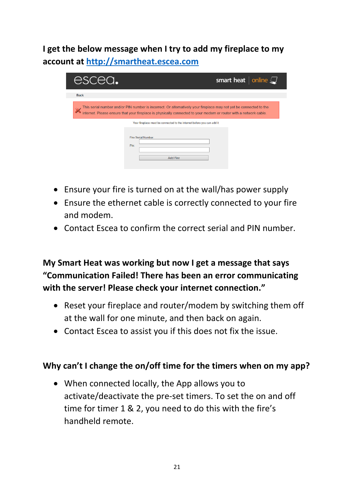**I get the below message when I try to add my fireplace to my account at [http://smartheat.escea.com](http://smartheat.escea.com/)**

| escea.      |                                                                                                                                                                                                                                         | smart heat $ $ online $\square$ |
|-------------|-----------------------------------------------------------------------------------------------------------------------------------------------------------------------------------------------------------------------------------------|---------------------------------|
| <b>Back</b> |                                                                                                                                                                                                                                         |                                 |
|             | This serial number and/or PIN number is incorrect. Or alternatively your fireplace may not yet be connected to the<br>internet. Please ensure that your fireplace is physically connected to your modem or router with a network cable. |                                 |
|             | Your fireplace must be connected to the internet before you can add it.                                                                                                                                                                 |                                 |
|             | <b>Fire Serial Number:</b><br>Pin:                                                                                                                                                                                                      |                                 |
|             | <b>Add Fire</b>                                                                                                                                                                                                                         |                                 |

- Ensure your fire is turned on at the wall/has power supply
- Ensure the ethernet cable is correctly connected to your fire and modem.
- Contact Escea to confirm the correct serial and PIN number.

## **My Smart Heat was working but now I get a message that says "Communication Failed! There has been an error communicating with the server! Please check your internet connection."**

- Reset your fireplace and router/modem by switching them off at the wall for one minute, and then back on again.
- Contact Escea to assist you if this does not fix the issue.

#### **Why can't I change the on/off time for the timers when on my app?**

• When connected locally, the App allows you to activate/deactivate the pre-set timers. To set the on and off time for timer 1 & 2, you need to do this with the fire's handheld remote.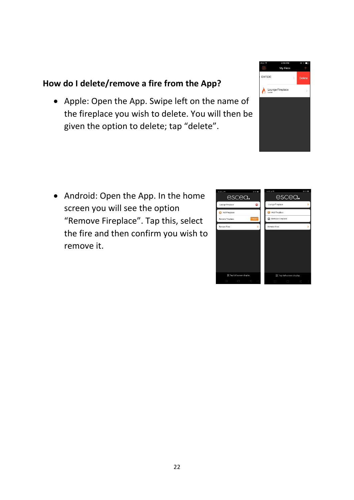## **How do I delete/remove a fire from the App?**

• Apple: Open the App. Swipe left on the name of the fireplace you wish to delete. You will then be given the option to delete; tap "delete".

- Android: Open the App. In the home screen you will see the option "Remove Fireplace". Tap this, select the fire and then confirm you wish to remove it.
-